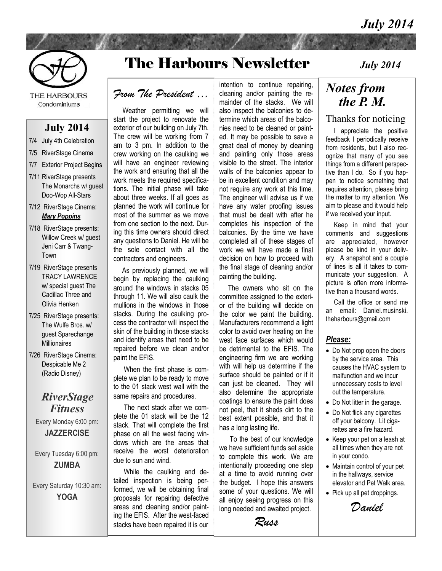

THE HARBOURS Condominiums

#### **July 2014**

- 7/4 July 4th Celebration
- 7/5 RiverStage Cinema
- 7/7 Exterior Project Begins
- 7/11 RiverStage presents The Monarchs w/ guest Doo-Wop All-Stars
- 7/12 RiverStage Cinema: *Mary Poppins*
- 7/18 RiverStage presents: Willow Creek w/ guest Jeni Carr & Twang-Town
- 7/19 RiverStage presents TRACY LAWRENCE w/ special guest The Cadillac Three and Olivia Henken
- 7/25 RiverStage presents: The Wulfe Bros. w/ guest Sparechange Millionaires
- 7/26 RiverStage Cinema: Despicable Me 2 (Radio Disney)

#### *RiverStage Fitness*

Every Monday 6:00 pm: **JAZZERCISE** 

Every Tuesday 6:00 pm: **ZUMBA** 

Every Saturday 10:30 am: **YOGA** 

# The Harbours Newsletter

#### *From The President …*

 Weather permitting we will start the project to renovate the exterior of our building on July 7th. The crew will be working from 7 am to 3 pm. In addition to the crew working on the caulking we will have an engineer reviewing the work and ensuring that all the work meets the required specifications. The initial phase will take about three weeks. If all goes as planned the work will continue for most of the summer as we move from one section to the next. During this time owners should direct any questions to Daniel. He will be the sole contact with all the contractors and engineers.

 As previously planned, we will begin by replacing the caulking around the windows in stacks 05 through 11. We will also caulk the mullions in the windows in those stacks. During the caulking process the contractor will inspect the skin of the building in those stacks and identify areas that need to be repaired before we clean and/or paint the EFIS.

 When the first phase is complete we plan to be ready to move to the 01 stack west wall with the same repairs and procedures.

 The next stack after we complete the 01 stack will be the 12 stack. That will complete the first phase on all the west facing windows which are the areas that receive the worst deterioration due to sun and wind.

 While the caulking and detailed inspection is being performed, we will be obtaining final proposals for repairing defective areas and cleaning and/or painting the EFIS. After the west-faced stacks have been repaired it is our intention to continue repairing, cleaning and/or painting the remainder of the stacks. We will also inspect the balconies to determine which areas of the balconies need to be cleaned or painted. It may be possible to save a great deal of money by cleaning and painting only those areas visible to the street. The interior walls of the balconies appear to be in excellent condition and may not require any work at this time. The engineer will advise us if we have any water proofing issues that must be dealt with after he completes his inspection of the balconies. By the time we have completed all of these stages of work we will have made a final decision on how to proceed with the final stage of cleaning and/or painting the building.

 The owners who sit on the committee assigned to the exterior of the building will decide on the color we paint the building. Manufacturers recommend a light color to avoid over heating on the west face surfaces which would be detrimental to the EFIS. The engineering firm we are working with will help us determine if the surface should be painted or if it can just be cleaned. They will also determine the appropriate coatings to ensure the paint does not peel, that it sheds dirt to the best extent possible, and that it has a long lasting life.

 To the best of our knowledge we have sufficient funds set aside to complete this work. We are intentionally proceeding one step at a time to avoid running over the budget. I hope this answers some of your questions. We will all enjoy seeing progress on this long needed and awaited project.

*Russ*

*July 2014*

### *Notes from the P. M.*

#### Thanks for noticing

 I appreciate the positive feedback I periodically receive from residents, but I also recognize that many of you see things from a different perspective than I do. So if you happen to notice something that requires attention, please bring the matter to my attention. We aim to please and it would help if we received your input.

 Keep in mind that your comments and suggestions are appreciated, however please be kind in your delivery. A snapshot and a couple of lines is all it takes to communicate your suggestion. A picture is often more informative than a thousand words.

 Call the office or send me an email: Daniel.musinski. theharbours@gmail.com

#### *Please:*

- Do Not prop open the doors by the service area. This causes the HVAC system to malfunction and we incur unnecessary costs to level out the temperature.
- Do Not litter in the garage.
- Do Not flick any cigarettes off your balcony. Lit cigarettes are a fire hazard.
- Keep your pet on a leash at all times when they are not in your condo.
- Maintain control of your pet in the hallways, service elevator and Pet Walk area.
- Pick up all pet droppings.

*Daniel*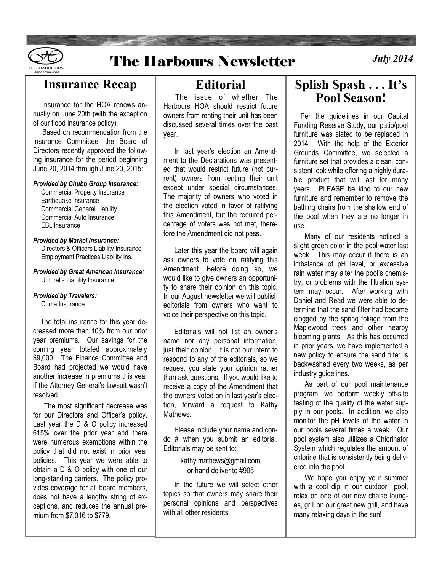

## **The Harbours Newsletter**

*July* 2014

#### **Insurance Recap**

 Insurance for the HOA renews annually on June 20th (with the exception of our flood insurance policy).

 Based on recommendation from the Insurance Committee, the Board of Directors recently approved the following insurance for the period beginning June 20, 2014 through June 20, 2015:

#### *Provided by Chubb Group Insurance:*

 Commercial Property Insurance Earthquake Insurance Commercial General Liability Commercial Auto Insurance EBL Insurance

#### *Provided by Markel Insurance:*

**Directors & Officers Liability Insurance** Employment Practices Liability Ins.

*Provided by Great American Insurance:* Umbrella Liability Insurance

#### *Provided by Travelers:*

Crime Insurance

 The total insurance for this year decreased more than 10% from our prior year premiums. Our savings for the coming year totaled approximately \$9,000. The Finance Committee and Board had projected we would have another increase in premiums this year if the Attorney General's lawsuit wasn't resolved.

 The most significant decrease was for our Directors and Officer's policy. Last year the D & O policy increased 615% over the prior year and there were numerous exemptions within the policy that did not exist in prior year policies. This year we were able to obtain a D & O policy with one of our long-standing carriers. The policy provides coverage for all board members, does not have a lengthy string of exceptions, and reduces the annual premium from \$7,016 to \$779.

### **Editorial**

 The issue of whether The Harbours HOA should restrict future owners from renting their unit has been discussed several times over the past year.

 In last year's election an Amendment to the Declarations was presented that would restrict future (not current) owners from renting their unit except under special circumstances. The majority of owners who voted in the election voted in favor of ratifying this Amendment, but the required percentage of voters was not met, therefore the Amendment did not pass.

 Later this year the board will again ask owners to vote on ratifying this Amendment. Before doing so, we would like to give owners an opportunity to share their opinion on this topic. In our August newsletter we will publish editorials from owners who want to voice their perspective on this topic.

 Editorials will not list an owner's name nor any personal information, just their opinion. It is not our intent to respond to any of the editorials, so we request you state your opinion rather than ask questions. If you would like to receive a copy of the Amendment that the owners voted on in last year's election, forward a request to Kathy Mathews.

 Please include your name and condo # when you submit an editorial. Editorials may be sent to:

> kathy.mathews@gmail.com or hand deliver to #905

 In the future we will select other topics so that owners may share their personal opinions and perspectives with all other residents.

### **Splish Spash . . . It's Pool Season!**

 Per the guidelines in our Capital Funding Reserve Study, our patio/pool furniture was slated to be replaced in 2014. With the help of the Exterior Grounds Committee, we selected a furniture set that provides a clean, consistent look while offering a highly durable product that will last for many years. PLEASE be kind to our new furniture and remember to remove the bathing chairs from the shallow end of the pool when they are no longer in use.

 Many of our residents noticed a slight green color in the pool water last week. This may occur if there is an imbalance of pH level, or excessive rain water may alter the pool's chemistry, or problems with the filtration system may occur. After working with Daniel and Read we were able to determine that the sand filter had become clogged by the spring foliage from the Maplewood trees and other nearby blooming plants. As this has occurred in prior years, we have implemented a new policy to ensure the sand filter is backwashed every two weeks, as per industry quidelines.

 As part of our pool maintenance program, we perform weekly off-site testing of the quality of the water supply in our pools. In addition, we also monitor the pH levels of the water in our pools several times a week. Our pool system also utilizes a Chlorinator System which regulates the amount of chlorine that is consistently being delivered into the pool.

 We hope you enjoy your summer with a cool dip in our outdoor pool, relax on one of our new chaise lounges, grill on our great new grill, and have many relaxing days in the sun!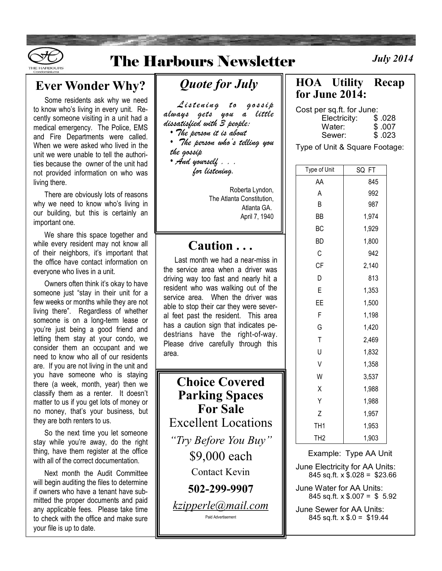

## **The Harbours Newsletter**

### **Ever Wonder Why?**

 Some residents ask why we need to know who's living in every unit. Recently someone visiting in a unit had a medical emergency. The Police, EMS and Fire Departments were called. When we were asked who lived in the unit we were unable to tell the authorities because the owner of the unit had not provided information on who was living there.

 There are obviously lots of reasons why we need to know who's living in our building, but this is certainly an important one.

 We share this space together and while every resident may not know all of their neighbors, it's important that the office have contact information on everyone who lives in a unit.

 Owners often think it's okay to have someone just "stay in their unit for a few weeks or months while they are not living there". Regardless of whether someone is on a long-term lease or you're just being a good friend and letting them stay at your condo, we consider them an occupant and we need to know who all of our residents are. If you are not living in the unit and you have someone who is staying there (a week, month, year) then we classify them as a renter. It doesn't matter to us if you get lots of money or no money, that's your business, but they are both renters to us.

 So the next time you let someone stay while you're away, do the right thing, have them register at the office with all of the correct documentation.

 Next month the Audit Committee will begin auditing the files to determine if owners who have a tenant have submitted the proper documents and paid any applicable fees. Please take time to check with the office and make sure your file is up to date.

### *Quote for July*

Listening to gossip *always gets you a little dissatisfied with 3 people:*

• *The person it is about*

• *The person who's telling you the gossip*

• *And yourself . . . for listening.*

> Roberta Lyndon, The Atlanta Constitution, Atlanta GA. April 7, 1940

#### **Caution . . .**

 Last month we had a near-miss in the service area when a driver was driving way too fast and nearly hit a resident who was walking out of the service area. When the driver was able to stop their car they were several feet past the resident. This area has a caution sign that indicates pedestrians have the right-of-way. Please drive carefully through this area.

**Choice Covered Parking Spaces For Sale** Excellent Locations *"Try Before You Buy"* \$9,000 each Contact Kevin **502-299-9907** *kzipperle@mail.com* Paid Advertisement

**HOA Utility Recap for June 2014:**

Cost per sq.ft. for June:

| Electricity: | \$.028 |
|--------------|--------|
| Water:       | \$.007 |
| Sewer:       | \$.023 |

Type of Unit & Square Footage:

| Type of Unit    | SQ<br>FT |
|-----------------|----------|
| AA              | 845      |
| Α               | 992      |
| B               | 987      |
| ВB              | 1,974    |
| ВC              | 1,929    |
| <b>BD</b>       | 1,800    |
| С               | 942      |
| СF              | 2,140    |
| D               | 813      |
| E               | 1,353    |
| ΕE              | 1,500    |
| F               | 1,198    |
| G               | 1,420    |
| T               | 2,469    |
| U               | 1,832    |
| $\vee$          | 1,358    |
| W               | 3,537    |
| Χ               | 1,988    |
| Υ               | 1,988    |
| Z               | 1,957    |
| TH <sub>1</sub> | 1,953    |
| TH <sub>2</sub> | 1,903    |

Example: Type AA Unit

June Electricity for AA Units: 845 sq.ft.  $x$  \$.028 = \$23.66

June Water for AA Units: 845 sq.ft.  $\times$  \$.007 = \$ 5.92

June Sewer for AA Units: 845 sq.ft.  $x$  \$.0 = \$19.44

*July* 2014